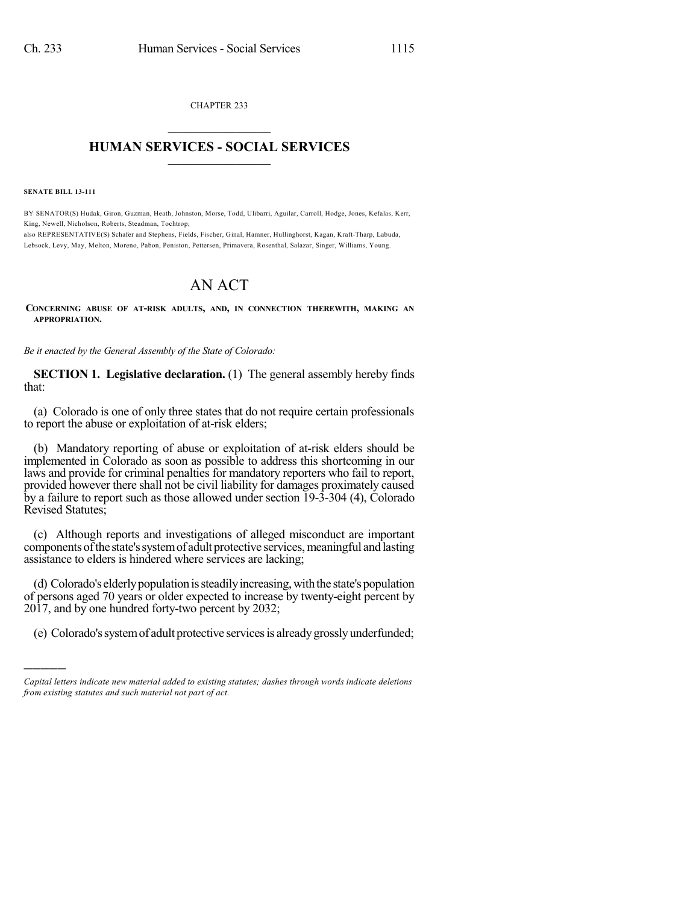CHAPTER 233  $\mathcal{L}_\text{max}$  . The set of the set of the set of the set of the set of the set of the set of the set of the set of the set of the set of the set of the set of the set of the set of the set of the set of the set of the set

## **HUMAN SERVICES - SOCIAL SERVICES**  $\frac{1}{2}$  ,  $\frac{1}{2}$  ,  $\frac{1}{2}$  ,  $\frac{1}{2}$  ,  $\frac{1}{2}$  ,  $\frac{1}{2}$

**SENATE BILL 13-111**

)))))

BY SENATOR(S) Hudak, Giron, Guzman, Heath, Johnston, Morse, Todd, Ulibarri, Aguilar, Carroll, Hodge, Jones, Kefalas, Kerr, King, Newell, Nicholson, Roberts, Steadman, Tochtrop; also REPRESENTATIVE(S) Schafer and Stephens, Fields, Fischer, Ginal, Hamner, Hullinghorst, Kagan, Kraft-Tharp, Labuda,

Lebsock, Levy, May, Melton, Moreno, Pabon, Peniston, Pettersen, Primavera, Rosenthal, Salazar, Singer, Williams, Young.

## AN ACT

**CONCERNING ABUSE OF AT-RISK ADULTS, AND, IN CONNECTION THEREWITH, MAKING AN APPROPRIATION.**

*Be it enacted by the General Assembly of the State of Colorado:*

**SECTION 1. Legislative declaration.** (1) The general assembly hereby finds that:

(a) Colorado is one of only three states that do not require certain professionals to report the abuse or exploitation of at-risk elders;

(b) Mandatory reporting of abuse or exploitation of at-risk elders should be implemented in Colorado as soon as possible to address this shortcoming in our laws and provide for criminal penalties for mandatory reporters who fail to report, provided however there shall not be civil liability for damages proximately caused by a failure to report such as those allowed under section 19-3-304 (4), Colorado Revised Statutes;

(c) Although reports and investigations of alleged misconduct are important components of the state's system of adult protective services, meaningful and lasting assistance to elders is hindered where services are lacking;

(d) Colorado's elderly population is steadily increasing, with the state's population of persons aged 70 years or older expected to increase by twenty-eight percent by 2017, and by one hundred forty-two percent by 2032;

(e) Colorado's system of adult protective services is already grossly underfunded;

*Capital letters indicate new material added to existing statutes; dashes through words indicate deletions from existing statutes and such material not part of act.*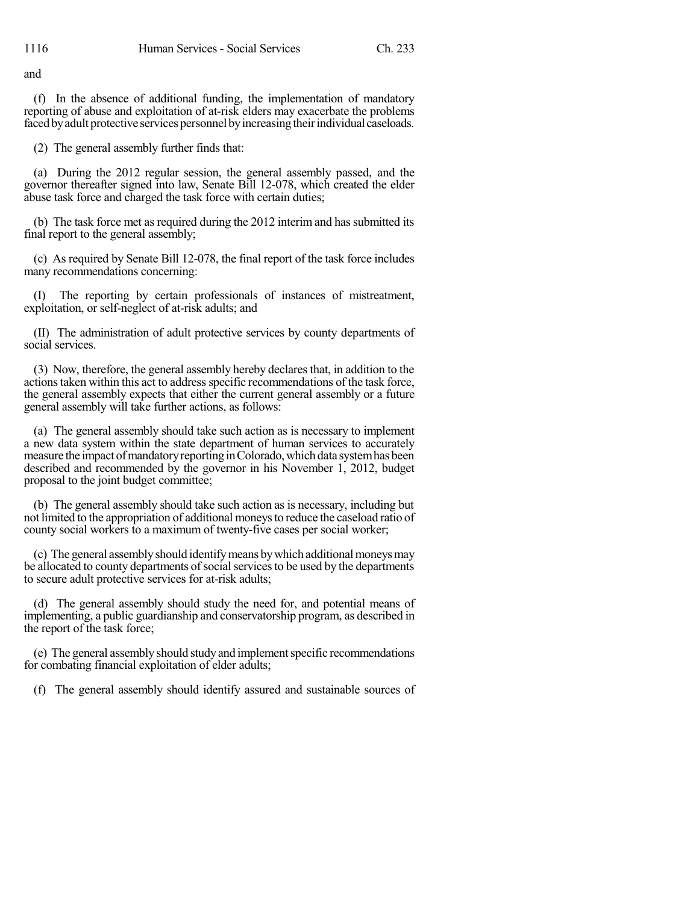and

(f) In the absence of additional funding, the implementation of mandatory reporting of abuse and exploitation of at-risk elders may exacerbate the problems faced by adult protective services personnel by increasing their individual caseloads.

(2) The general assembly further finds that:

(a) During the 2012 regular session, the general assembly passed, and the governor thereafter signed into law, Senate Bill 12-078, which created the elder abuse task force and charged the task force with certain duties;

(b) The task force met as required during the 2012 interim and hassubmitted its final report to the general assembly;

(c) As required by Senate Bill 12-078, the final report of the task force includes many recommendations concerning:

(I) The reporting by certain professionals of instances of mistreatment, exploitation, or self-neglect of at-risk adults; and

(II) The administration of adult protective services by county departments of social services.

(3) Now, therefore, the general assembly hereby declaresthat, in addition to the actions taken within this act to address specific recommendations of the task force, the general assembly expects that either the current general assembly or a future general assembly will take further actions, as follows:

(a) The general assembly should take such action as is necessary to implement a new data system within the state department of human services to accurately measure the impact of mandatory reporting in Colorado, which data system has been described and recommended by the governor in his November 1, 2012, budget proposal to the joint budget committee;

(b) The general assembly should take such action as is necessary, including but not limited to the appropriation of additional moneysto reduce the caseload ratio of county social workers to a maximum of twenty-five cases per social worker;

(c) The general assemblyshould identifymeans bywhich additionalmoneysmay be allocated to county departments of social services to be used by the departments to secure adult protective services for at-risk adults;

(d) The general assembly should study the need for, and potential means of implementing, a public guardianship and conservatorship program, as described in the report of the task force;

(e) The general assembly should studyand implementspecific recommendations for combating financial exploitation of elder adults;

(f) The general assembly should identify assured and sustainable sources of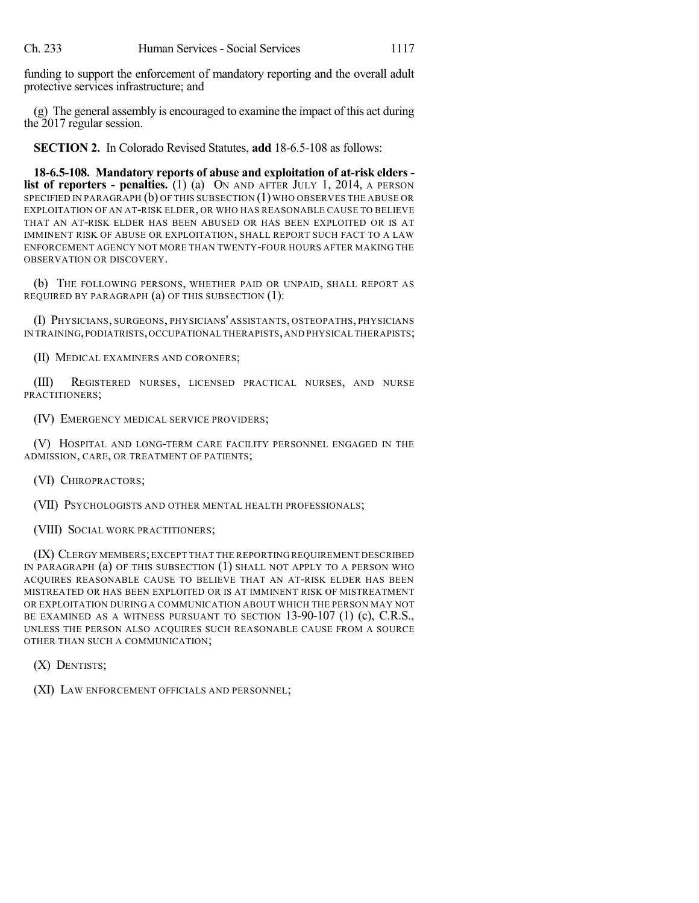funding to support the enforcement of mandatory reporting and the overall adult protective services infrastructure; and

(g) The general assembly is encouraged to examine the impact of this act during the 2017 regular session.

**SECTION 2.** In Colorado Revised Statutes, **add** 18-6.5-108 as follows:

**18-6.5-108. Mandatory reports of abuse and exploitation of at-risk elders list of reporters - penalties.** (1) (a) ON AND AFTER JULY 1, 2014, A PERSON SPECIFIED IN PARAGRAPH (b) OF THIS SUBSECTION (1) WHO OBSERVES THE ABUSE OR EXPLOITATION OF AN AT-RISK ELDER, OR WHO HAS REASONABLE CAUSE TO BELIEVE THAT AN AT-RISK ELDER HAS BEEN ABUSED OR HAS BEEN EXPLOITED OR IS AT IMMINENT RISK OF ABUSE OR EXPLOITATION, SHALL REPORT SUCH FACT TO A LAW ENFORCEMENT AGENCY NOT MORE THAN TWENTY-FOUR HOURS AFTER MAKING THE OBSERVATION OR DISCOVERY.

(b) THE FOLLOWING PERSONS, WHETHER PAID OR UNPAID, SHALL REPORT AS REQUIRED BY PARAGRAPH (a) OF THIS SUBSECTION (1):

(I) PHYSICIANS, SURGEONS, PHYSICIANS' ASSISTANTS, OSTEOPATHS, PHYSICIANS IN TRAINING,PODIATRISTS,OCCUPATIONAL THERAPISTS,AND PHYSICAL THERAPISTS;

(II) MEDICAL EXAMINERS AND CORONERS;

(III) REGISTERED NURSES, LICENSED PRACTICAL NURSES, AND NURSE PRACTITIONERS;

(IV) EMERGENCY MEDICAL SERVICE PROVIDERS;

(V) HOSPITAL AND LONG-TERM CARE FACILITY PERSONNEL ENGAGED IN THE ADMISSION, CARE, OR TREATMENT OF PATIENTS;

(VI) CHIROPRACTORS;

(VII) PSYCHOLOGISTS AND OTHER MENTAL HEALTH PROFESSIONALS;

(VIII) SOCIAL WORK PRACTITIONERS;

(IX) CLERGY MEMBERS;EXCEPT THAT THE REPORTING REQUIREMENT DESCRIBED IN PARAGRAPH (a) OF THIS SUBSECTION (1) SHALL NOT APPLY TO A PERSON WHO ACQUIRES REASONABLE CAUSE TO BELIEVE THAT AN AT-RISK ELDER HAS BEEN MISTREATED OR HAS BEEN EXPLOITED OR IS AT IMMINENT RISK OF MISTREATMENT OR EXPLOITATION DURING A COMMUNICATION ABOUT WHICH THE PERSON MAY NOT BE EXAMINED AS A WITNESS PURSUANT TO SECTION 13-90-107 (1) (c), C.R.S., UNLESS THE PERSON ALSO ACQUIRES SUCH REASONABLE CAUSE FROM A SOURCE OTHER THAN SUCH A COMMUNICATION;

(X) DENTISTS;

(XI) LAW ENFORCEMENT OFFICIALS AND PERSONNEL;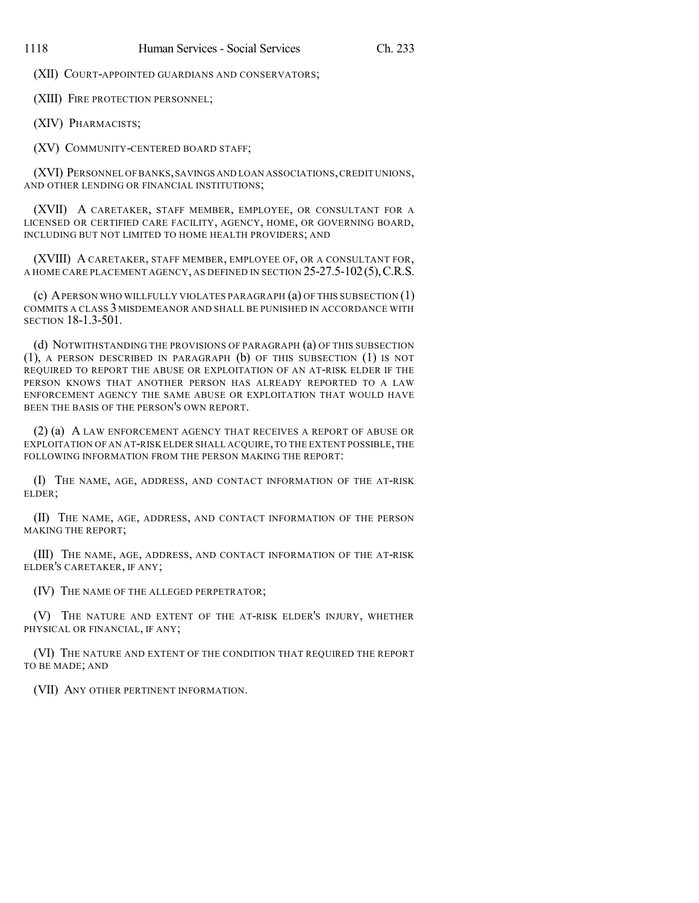(XII) COURT-APPOINTED GUARDIANS AND CONSERVATORS;

(XIII) FIRE PROTECTION PERSONNEL;

(XIV) PHARMACISTS;

(XV) COMMUNITY-CENTERED BOARD STAFF;

(XVI) PERSONNEL OF BANKS,SAVINGS AND LOAN ASSOCIATIONS,CREDIT UNIONS, AND OTHER LENDING OR FINANCIAL INSTITUTIONS;

(XVII) A CARETAKER, STAFF MEMBER, EMPLOYEE, OR CONSULTANT FOR A LICENSED OR CERTIFIED CARE FACILITY, AGENCY, HOME, OR GOVERNING BOARD, INCLUDING BUT NOT LIMITED TO HOME HEALTH PROVIDERS; AND

(XVIII) A CARETAKER, STAFF MEMBER, EMPLOYEE OF, OR A CONSULTANT FOR, A HOME CARE PLACEMENT AGENCY, AS DEFINED IN SECTION 25-27.5-102(5),C.R.S.

(c) APERSON WHO WILLFULLY VIOLATES PARAGRAPH (a) OF THIS SUBSECTION (1) COMMITS A CLASS 3 MISDEMEANOR AND SHALL BE PUNISHED IN ACCORDANCE WITH SECTION 18-1.3-501

(d) NOTWITHSTANDING THE PROVISIONS OF PARAGRAPH (a) OF THIS SUBSECTION (1), A PERSON DESCRIBED IN PARAGRAPH (b) OF THIS SUBSECTION (1) IS NOT REQUIRED TO REPORT THE ABUSE OR EXPLOITATION OF AN AT-RISK ELDER IF THE PERSON KNOWS THAT ANOTHER PERSON HAS ALREADY REPORTED TO A LAW ENFORCEMENT AGENCY THE SAME ABUSE OR EXPLOITATION THAT WOULD HAVE BEEN THE BASIS OF THE PERSON'S OWN REPORT.

(2) (a) A LAW ENFORCEMENT AGENCY THAT RECEIVES A REPORT OF ABUSE OR EXPLOITATION OF AN AT-RISK ELDER SHALL ACQUIRE,TO THE EXTENT POSSIBLE,THE FOLLOWING INFORMATION FROM THE PERSON MAKING THE REPORT:

(I) THE NAME, AGE, ADDRESS, AND CONTACT INFORMATION OF THE AT-RISK ELDER;

(II) THE NAME, AGE, ADDRESS, AND CONTACT INFORMATION OF THE PERSON MAKING THE REPORT;

(III) THE NAME, AGE, ADDRESS, AND CONTACT INFORMATION OF THE AT-RISK ELDER'S CARETAKER, IF ANY;

(IV) THE NAME OF THE ALLEGED PERPETRATOR;

(V) THE NATURE AND EXTENT OF THE AT-RISK ELDER'S INJURY, WHETHER PHYSICAL OR FINANCIAL, IF ANY;

(VI) THE NATURE AND EXTENT OF THE CONDITION THAT REQUIRED THE REPORT TO BE MADE; AND

(VII) ANY OTHER PERTINENT INFORMATION.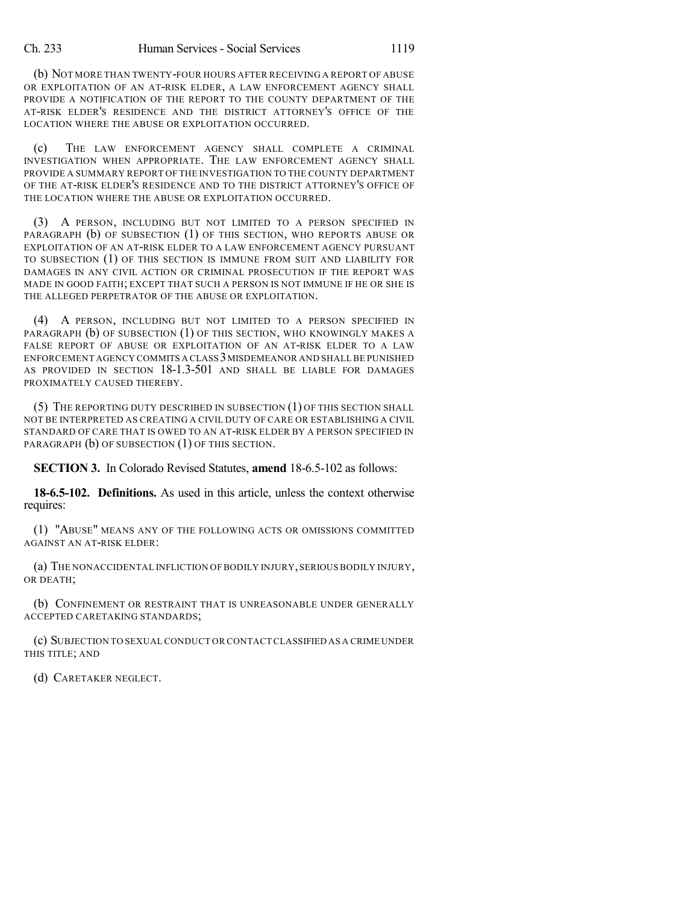(b) NOT MORE THAN TWENTY-FOUR HOURS AFTER RECEIVING A REPORT OF ABUSE OR EXPLOITATION OF AN AT-RISK ELDER, A LAW ENFORCEMENT AGENCY SHALL PROVIDE A NOTIFICATION OF THE REPORT TO THE COUNTY DEPARTMENT OF THE AT-RISK ELDER'S RESIDENCE AND THE DISTRICT ATTORNEY'S OFFICE OF THE LOCATION WHERE THE ABUSE OR EXPLOITATION OCCURRED.

(c) THE LAW ENFORCEMENT AGENCY SHALL COMPLETE A CRIMINAL INVESTIGATION WHEN APPROPRIATE. THE LAW ENFORCEMENT AGENCY SHALL PROVIDE A SUMMARY REPORT OF THE INVESTIGATION TO THE COUNTY DEPARTMENT OF THE AT-RISK ELDER'S RESIDENCE AND TO THE DISTRICT ATTORNEY'S OFFICE OF THE LOCATION WHERE THE ABUSE OR EXPLOITATION OCCURRED.

(3) A PERSON, INCLUDING BUT NOT LIMITED TO A PERSON SPECIFIED IN PARAGRAPH (b) OF SUBSECTION (1) OF THIS SECTION, WHO REPORTS ABUSE OR EXPLOITATION OF AN AT-RISK ELDER TO A LAW ENFORCEMENT AGENCY PURSUANT TO SUBSECTION (1) OF THIS SECTION IS IMMUNE FROM SUIT AND LIABILITY FOR DAMAGES IN ANY CIVIL ACTION OR CRIMINAL PROSECUTION IF THE REPORT WAS MADE IN GOOD FAITH; EXCEPT THAT SUCH A PERSON IS NOT IMMUNE IF HE OR SHE IS THE ALLEGED PERPETRATOR OF THE ABUSE OR EXPLOITATION.

(4) A PERSON, INCLUDING BUT NOT LIMITED TO A PERSON SPECIFIED IN PARAGRAPH (b) OF SUBSECTION (1) OF THIS SECTION, WHO KNOWINGLY MAKES A FALSE REPORT OF ABUSE OR EXPLOITATION OF AN AT-RISK ELDER TO A LAW ENFORCEMENT AGENCY COMMITS A CLASS 3MISDEMEANOR AND SHALL BE PUNISHED AS PROVIDED IN SECTION 18-1.3-501 AND SHALL BE LIABLE FOR DAMAGES PROXIMATELY CAUSED THEREBY.

(5) THE REPORTING DUTY DESCRIBED IN SUBSECTION (1) OF THIS SECTION SHALL NOT BE INTERPRETED AS CREATING A CIVIL DUTY OF CARE OR ESTABLISHING A CIVIL STANDARD OF CARE THAT IS OWED TO AN AT-RISK ELDER BY A PERSON SPECIFIED IN PARAGRAPH (b) OF SUBSECTION (1) OF THIS SECTION.

**SECTION 3.** In Colorado Revised Statutes, **amend** 18-6.5-102 as follows:

**18-6.5-102. Definitions.** As used in this article, unless the context otherwise requires:

(1) "ABUSE" MEANS ANY OF THE FOLLOWING ACTS OR OMISSIONS COMMITTED AGAINST AN AT-RISK ELDER:

(a) THE NONACCIDENTAL INFLICTION OF BODILY INJURY, SERIOUS BODILY INJURY, OR DEATH;

(b) CONFINEMENT OR RESTRAINT THAT IS UNREASONABLE UNDER GENERALLY ACCEPTED CARETAKING STANDARDS;

(c) SUBJECTION TO SEXUAL CONDUCT OR CONTACTCLASSIFIED AS A CRIME UNDER THIS TITLE; AND

(d) CARETAKER NEGLECT.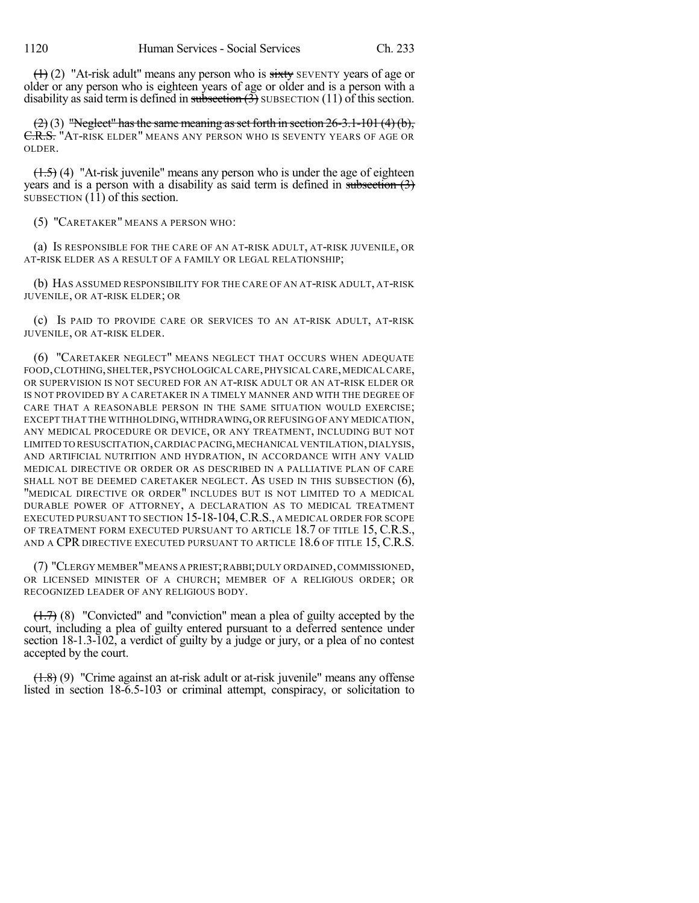$(1)$  (2) "At-risk adult" means any person who is sixty SEVENTY years of age or older or any person who is eighteen years of age or older and is a person with a disability as said term is defined in subsection  $(3)$  SUBSECTION  $(11)$  of this section.

 $(2)$  (3) "Neglect" has the same meaning as set forth in section 26-3.1-101 (4)(b), C.R.S. "AT-RISK ELDER" MEANS ANY PERSON WHO IS SEVENTY YEARS OF AGE OR OLDER.

 $(1.5)$  (4) "At-risk juvenile" means any person who is under the age of eighteen years and is a person with a disability as said term is defined in subsection  $(3)$  $\overline{\text{SUBSECTION (11)}}$  of this section.

(5) "CARETAKER" MEANS A PERSON WHO:

(a) IS RESPONSIBLE FOR THE CARE OF AN AT-RISK ADULT, AT-RISK JUVENILE, OR AT-RISK ELDER AS A RESULT OF A FAMILY OR LEGAL RELATIONSHIP;

(b) HAS ASSUMED RESPONSIBILITY FOR THE CARE OF AN AT-RISK ADULT, AT-RISK JUVENILE, OR AT-RISK ELDER; OR

(c) IS PAID TO PROVIDE CARE OR SERVICES TO AN AT-RISK ADULT, AT-RISK JUVENILE, OR AT-RISK ELDER.

(6) "CARETAKER NEGLECT" MEANS NEGLECT THAT OCCURS WHEN ADEQUATE FOOD, CLOTHING, SHELTER, PSYCHOLOGICAL CARE, PHYSICAL CARE, MEDICAL CARE, OR SUPERVISION IS NOT SECURED FOR AN AT-RISK ADULT OR AN AT-RISK ELDER OR IS NOT PROVIDED BY A CARETAKER IN A TIMELY MANNER AND WITH THE DEGREE OF CARE THAT A REASONABLE PERSON IN THE SAME SITUATION WOULD EXERCISE; EXCEPT THAT THE WITHHOLDING,WITHDRAWING,OR REFUSING OF ANY MEDICATION, ANY MEDICAL PROCEDURE OR DEVICE, OR ANY TREATMENT, INCLUDING BUT NOT LIMITED TO RESUSCITATION,CARDIAC PACING,MECHANICAL VENTILATION,DIALYSIS, AND ARTIFICIAL NUTRITION AND HYDRATION, IN ACCORDANCE WITH ANY VALID MEDICAL DIRECTIVE OR ORDER OR AS DESCRIBED IN A PALLIATIVE PLAN OF CARE SHALL NOT BE DEEMED CARETAKER NEGLECT. AS USED IN THIS SUBSECTION (6), "MEDICAL DIRECTIVE OR ORDER" INCLUDES BUT IS NOT LIMITED TO A MEDICAL DURABLE POWER OF ATTORNEY, A DECLARATION AS TO MEDICAL TREATMENT EXECUTED PURSUANT TO SECTION 15-18-104,C.R.S., A MEDICAL ORDER FOR SCOPE OF TREATMENT FORM EXECUTED PURSUANT TO ARTICLE 18.7 OF TITLE 15, C.R.S., AND A CPR DIRECTIVE EXECUTED PURSUANT TO ARTICLE 18.6 OF TITLE 15, C.R.S.

(7) "CLERGY MEMBER"MEANS A PRIEST;RABBI;DULY ORDAINED,COMMISSIONED, OR LICENSED MINISTER OF A CHURCH; MEMBER OF A RELIGIOUS ORDER; OR RECOGNIZED LEADER OF ANY RELIGIOUS BODY.

 $(1.7)$  (8) "Convicted" and "conviction" mean a plea of guilty accepted by the court, including a plea of guilty entered pursuant to a deferred sentence under section 18-1.3-102, a verdict of guilty by a judge or jury, or a plea of no contest accepted by the court.

(1.8) (9) "Crime against an at-risk adult or at-risk juvenile" means any offense listed in section 18-6.5-103 or criminal attempt, conspiracy, or solicitation to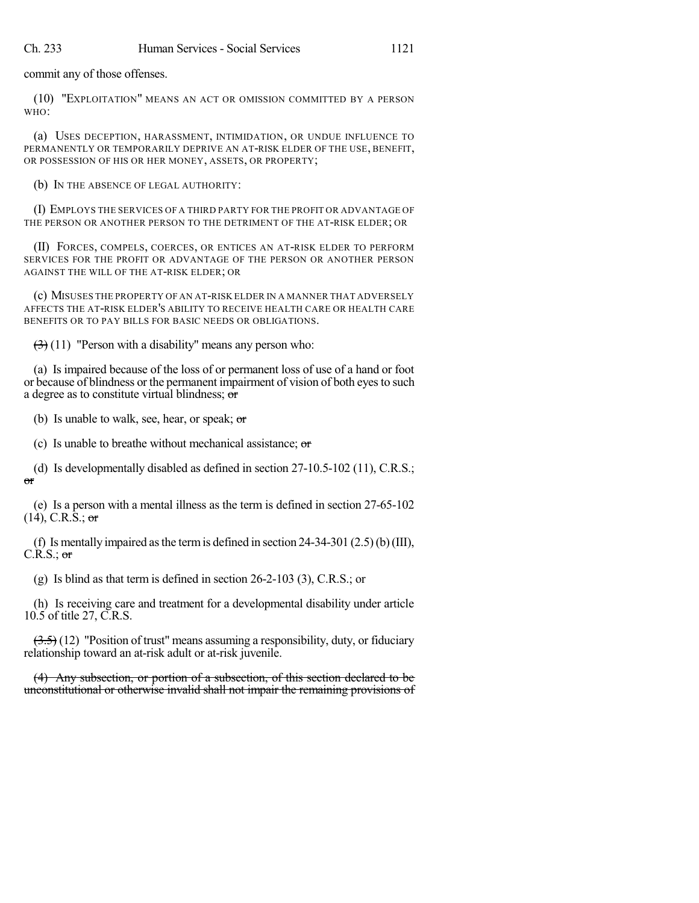commit any of those offenses.

(10) "EXPLOITATION" MEANS AN ACT OR OMISSION COMMITTED BY A PERSON WHO:

(a) USES DECEPTION, HARASSMENT, INTIMIDATION, OR UNDUE INFLUENCE TO PERMANENTLY OR TEMPORARILY DEPRIVE AN AT-RISK ELDER OF THE USE, BENEFIT, OR POSSESSION OF HIS OR HER MONEY, ASSETS, OR PROPERTY;

(b) IN THE ABSENCE OF LEGAL AUTHORITY:

(I) EMPLOYS THE SERVICES OF A THIRD PARTY FOR THE PROFIT OR ADVANTAGE OF THE PERSON OR ANOTHER PERSON TO THE DETRIMENT OF THE AT-RISK ELDER; OR

(II) FORCES, COMPELS, COERCES, OR ENTICES AN AT-RISK ELDER TO PERFORM SERVICES FOR THE PROFIT OR ADVANTAGE OF THE PERSON OR ANOTHER PERSON AGAINST THE WILL OF THE AT-RISK ELDER; OR

(c) MISUSES THE PROPERTY OF AN AT-RISK ELDER IN A MANNER THAT ADVERSELY AFFECTS THE AT-RISK ELDER'S ABILITY TO RECEIVE HEALTH CARE OR HEALTH CARE BENEFITS OR TO PAY BILLS FOR BASIC NEEDS OR OBLIGATIONS.

 $(3)(11)$  "Person with a disability" means any person who:

(a) Is impaired because of the loss of or permanent loss of use of a hand or foot or because of blindness or the permanent impairment of vision of both eyesto such a degree as to constitute virtual blindness; or

(b) Is unable to walk, see, hear, or speak;  $\sigma$ 

(c) Is unable to breathe without mechanical assistance; or

(d) Is developmentally disabled as defined in section 27-10.5-102 (11), C.R.S.; or

(e) Is a person with a mental illness as the term is defined in section 27-65-102  $(14)$ , C.R.S.; or

(f) Is mentally impaired as the term is defined in section  $24-34-301$  (2.5)(b)(III),  $C.R.S.:$  or

(g) Is blind as that term is defined in section 26-2-103 (3), C.R.S.; or

(h) Is receiving care and treatment for a developmental disability under article 10.5 of title 27, C.R.S.

 $(3.5)$  (12) "Position of trust" means assuming a responsibility, duty, or fiduciary relationship toward an at-risk adult or at-risk juvenile.

(4) Any subsection, or portion of a subsection, of this section declared to be unconstitutional or otherwise invalid shall not impair the remaining provisions of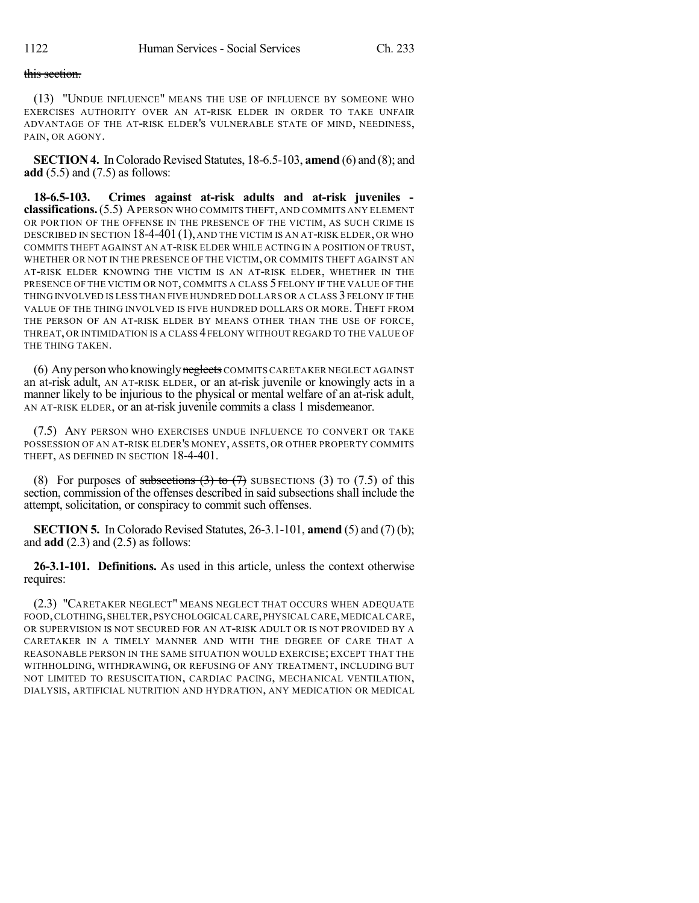## this section.

(13) "UNDUE INFLUENCE" MEANS THE USE OF INFLUENCE BY SOMEONE WHO EXERCISES AUTHORITY OVER AN AT-RISK ELDER IN ORDER TO TAKE UNFAIR ADVANTAGE OF THE AT-RISK ELDER'S VULNERABLE STATE OF MIND, NEEDINESS, PAIN, OR AGONY.

**SECTION 4.** In Colorado Revised Statutes, 18-6.5-103, **amend** (6) and (8); and **add** (5.5) and (7.5) as follows:

**18-6.5-103. Crimes against at-risk adults and at-risk juveniles classifications.**(5.5) APERSON WHO COMMITS THEFT, AND COMMITS ANY ELEMENT OR PORTION OF THE OFFENSE IN THE PRESENCE OF THE VICTIM, AS SUCH CRIME IS DESCRIBED IN SECTION 18-4-401(1), AND THE VICTIM IS AN AT-RISK ELDER, OR WHO COMMITS THEFT AGAINST AN AT-RISK ELDER WHILE ACTING IN A POSITION OF TRUST, WHETHER OR NOT IN THE PRESENCE OF THE VICTIM, OR COMMITS THEFT AGAINST AN AT-RISK ELDER KNOWING THE VICTIM IS AN AT-RISK ELDER, WHETHER IN THE PRESENCE OF THE VICTIM OR NOT, COMMITS A CLASS 5 FELONY IF THE VALUE OF THE THING INVOLVED IS LESS THAN FIVE HUNDRED DOLLARS OR A CLASS 3 FELONY IF THE VALUE OF THE THING INVOLVED IS FIVE HUNDRED DOLLARS OR MORE. THEFT FROM THE PERSON OF AN AT-RISK ELDER BY MEANS OTHER THAN THE USE OF FORCE, THREAT, OR INTIMIDATION IS A CLASS 4 FELONY WITHOUT REGARD TO THE VALUE OF THE THING TAKEN.

(6) Any person who knowingly neglects COMMITS CARETAKER NEGLECT AGAINST an at-risk adult, AN AT-RISK ELDER, or an at-risk juvenile or knowingly acts in a manner likely to be injurious to the physical or mental welfare of an at-risk adult, AN AT-RISK ELDER, or an at-risk juvenile commits a class 1 misdemeanor.

(7.5) ANY PERSON WHO EXERCISES UNDUE INFLUENCE TO CONVERT OR TAKE POSSESSION OF AN AT-RISK ELDER'S MONEY, ASSETS, OR OTHER PROPERTY COMMITS THEFT, AS DEFINED IN SECTION 18-4-401.

(8) For purposes of subsections  $(3)$  to  $(7)$  SUBSECTIONS  $(3)$  TO  $(7.5)$  of this section, commission of the offenses described in said subsections shall include the attempt, solicitation, or conspiracy to commit such offenses.

**SECTION 5.** In Colorado Revised Statutes, 26-3.1-101, **amend** (5) and (7) (b); and **add** (2.3) and (2.5) as follows:

**26-3.1-101. Definitions.** As used in this article, unless the context otherwise requires:

(2.3) "CARETAKER NEGLECT" MEANS NEGLECT THAT OCCURS WHEN ADEQUATE FOOD, CLOTHING, SHELTER, PSYCHOLOGICAL CARE, PHYSICAL CARE, MEDICAL CARE, OR SUPERVISION IS NOT SECURED FOR AN AT-RISK ADULT OR IS NOT PROVIDED BY A CARETAKER IN A TIMELY MANNER AND WITH THE DEGREE OF CARE THAT A REASONABLE PERSON IN THE SAME SITUATION WOULD EXERCISE; EXCEPT THAT THE WITHHOLDING, WITHDRAWING, OR REFUSING OF ANY TREATMENT, INCLUDING BUT NOT LIMITED TO RESUSCITATION, CARDIAC PACING, MECHANICAL VENTILATION, DIALYSIS, ARTIFICIAL NUTRITION AND HYDRATION, ANY MEDICATION OR MEDICAL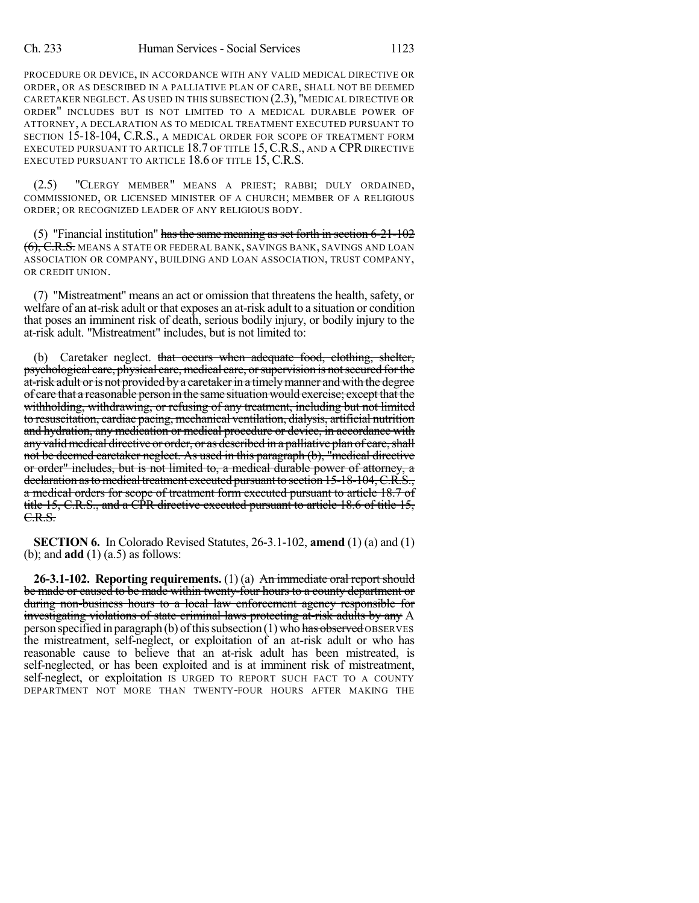PROCEDURE OR DEVICE, IN ACCORDANCE WITH ANY VALID MEDICAL DIRECTIVE OR ORDER, OR AS DESCRIBED IN A PALLIATIVE PLAN OF CARE, SHALL NOT BE DEEMED CARETAKER NEGLECT. AS USED IN THIS SUBSECTION (2.3), "MEDICAL DIRECTIVE OR ORDER" INCLUDES BUT IS NOT LIMITED TO A MEDICAL DURABLE POWER OF ATTORNEY, A DECLARATION AS TO MEDICAL TREATMENT EXECUTED PURSUANT TO SECTION 15-18-104, C.R.S., A MEDICAL ORDER FOR SCOPE OF TREATMENT FORM EXECUTED PURSUANT TO ARTICLE 18.7 OF TITLE 15, C.R.S., AND A CPR DIRECTIVE EXECUTED PURSUANT TO ARTICLE 18.6 OF TITLE 15, C.R.S.

(2.5) "CLERGY MEMBER" MEANS A PRIEST; RABBI; DULY ORDAINED, COMMISSIONED, OR LICENSED MINISTER OF A CHURCH; MEMBER OF A RELIGIOUS ORDER; OR RECOGNIZED LEADER OF ANY RELIGIOUS BODY.

(5) "Financial institution" has the same meaning as set forth in section  $6-21-102$ (6), C.R.S. MEANS A STATE OR FEDERAL BANK, SAVINGS BANK, SAVINGS AND LOAN ASSOCIATION OR COMPANY, BUILDING AND LOAN ASSOCIATION, TRUST COMPANY, OR CREDIT UNION.

(7) "Mistreatment" means an act or omission that threatens the health, safety, or welfare of an at-risk adult or that exposes an at-risk adult to a situation or condition that poses an imminent risk of death, serious bodily injury, or bodily injury to the at-risk adult. "Mistreatment" includes, but is not limited to:

(b) Caretaker neglect. that occurs when adequate food, clothing, shelter, psychological care, physical care, medical care, or supervision is not secured for the at-risk adult or is not provided by a caretaker in a timely manner and with the degree of care that a reasonable person in the same situationwould exercise; except that the withholding, withdrawing, or refusing of any treatment, including but not limited to resuscitation, cardiac pacing, mechanical ventilation, dialysis, artificial nutrition and hydration, any medication or medical procedure or device, in accordance with any valid medical directive or order, or as described in a palliative plan of care, shall not be deemed caretaker neglect. As used in this paragraph (b), "medical directive or order" includes, but is not limited to, a medical durable power of attorney, a declaration as to medical treatment executed pursuant to section 15-18-104, C.R.S., a medical orders for scope of treatment form executed pursuant to article 18.7 of title 15, C.R.S., and a CPR directive executed pursuant to article 18.6 of title 15, C.R.S.

**SECTION 6.** In Colorado Revised Statutes, 26-3.1-102, **amend** (1) (a) and (1) (b); and **add** (1) (a.5) as follows:

**26-3.1-102. Reporting requirements.** (1) (a) An immediate oral report should be made or caused to be made within twenty-four hours to a county department or during non-business hours to a local law enforcement agency responsible for investigating violations of state criminal laws protecting at-risk adults by any A person specified in paragraph (b) of this subsection (1) who has observed OBSERVES the mistreatment, self-neglect, or exploitation of an at-risk adult or who has reasonable cause to believe that an at-risk adult has been mistreated, is self-neglected, or has been exploited and is at imminent risk of mistreatment, self-neglect, or exploitation IS URGED TO REPORT SUCH FACT TO A COUNTY DEPARTMENT NOT MORE THAN TWENTY-FOUR HOURS AFTER MAKING THE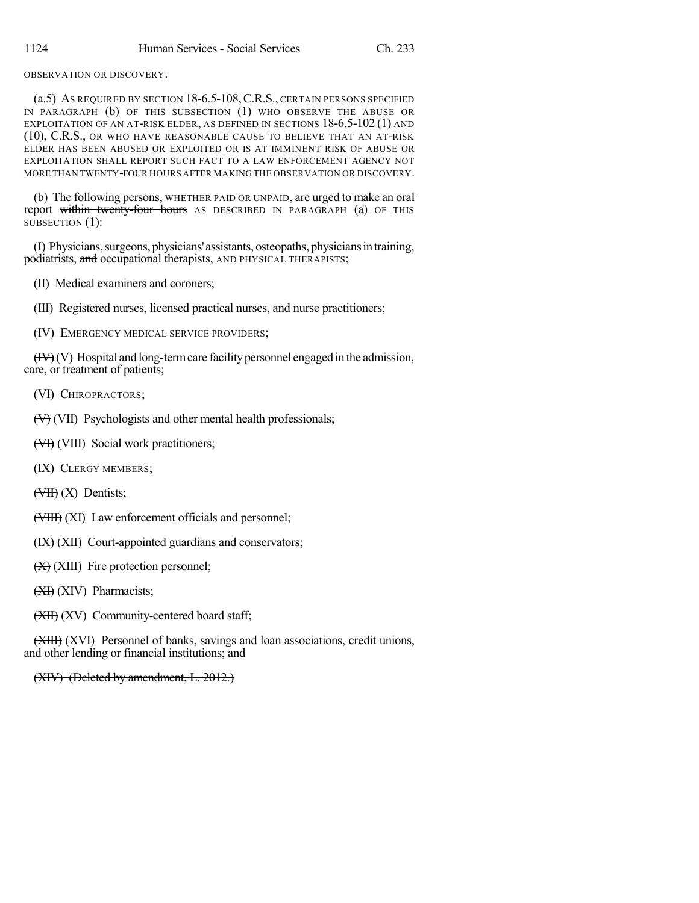OBSERVATION OR DISCOVERY.

(a.5) AS REQUIRED BY SECTION 18-6.5-108,C.R.S., CERTAIN PERSONS SPECIFIED IN PARAGRAPH (b) OF THIS SUBSECTION (1) WHO OBSERVE THE ABUSE OR EXPLOITATION OF AN AT-RISK ELDER, AS DEFINED IN SECTIONS 18-6.5-102 (1) AND (10), C.R.S., OR WHO HAVE REASONABLE CAUSE TO BELIEVE THAT AN AT-RISK ELDER HAS BEEN ABUSED OR EXPLOITED OR IS AT IMMINENT RISK OF ABUSE OR EXPLOITATION SHALL REPORT SUCH FACT TO A LAW ENFORCEMENT AGENCY NOT MORE THAN TWENTY-FOUR HOURS AFTER MAKING THE OBSERVATION OR DISCOVERY.

(b) The following persons, WHETHER PAID OR UNPAID, are urged to make an oral report within twenty-four hours AS DESCRIBED IN PARAGRAPH (a) OF THIS SUBSECTION (1):

(I) Physicians,surgeons, physicians'assistants, osteopaths, physiciansintraining, podiatrists, and occupational therapists, AND PHYSICAL THERAPISTS;

- (II) Medical examiners and coroners;
- (III) Registered nurses, licensed practical nurses, and nurse practitioners;

(IV) EMERGENCY MEDICAL SERVICE PROVIDERS;

 $(HY)(V)$  Hospital and long-term care facility personnel engaged in the admission, care, or treatment of patients;

(VI) CHIROPRACTORS;

(V) (VII) Psychologists and other mental health professionals;

(VIII) Social work practitioners;

(IX) CLERGY MEMBERS;

 $(HH)$   $(X)$  Dentists;

(VIII) (XI) Law enforcement officials and personnel;

- $(HX)$  (XII) Court-appointed guardians and conservators;
- $(X)$  (XIII) Fire protection personnel;
- $(XI)$  (XIV) Pharmacists;
- (XII) (XV) Community-centered board staff;

(XIII) (XVI) Personnel of banks, savings and loan associations, credit unions, and other lending or financial institutions; and

(XIV) (Deleted by amendment, L. 2012.)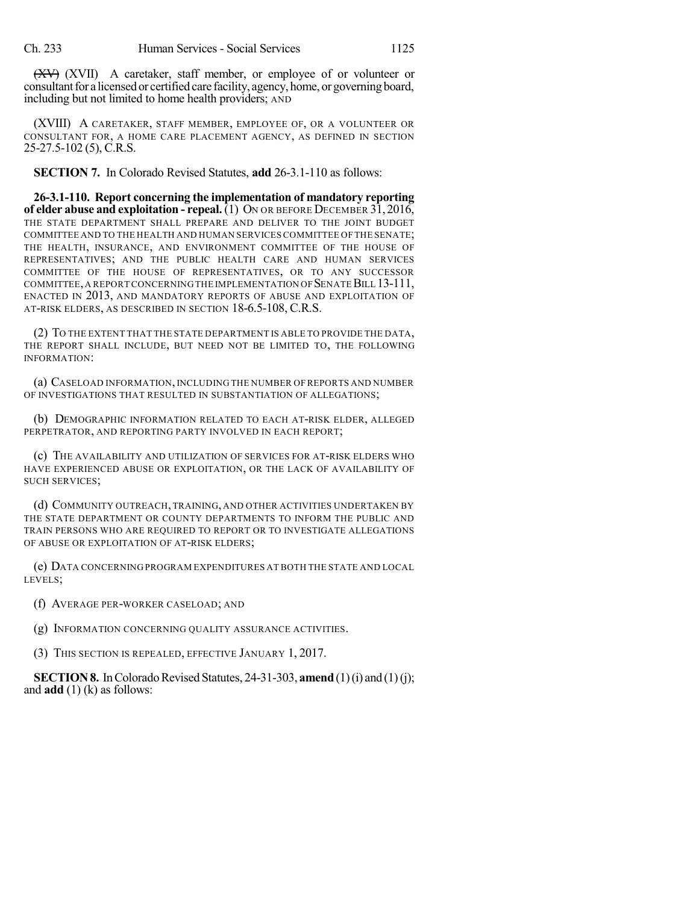(XV) (XVII) A caretaker, staff member, or employee of or volunteer or consultant for a licensed or certified care facility, agency, home, or governing board, including but not limited to home health providers; AND

(XVIII) A CARETAKER, STAFF MEMBER, EMPLOYEE OF, OR A VOLUNTEER OR CONSULTANT FOR, A HOME CARE PLACEMENT AGENCY, AS DEFINED IN SECTION 25-27.5-102 (5), C.R.S.

**SECTION 7.** In Colorado Revised Statutes, **add** 26-3.1-110 as follows:

**26-3.1-110. Report concerning the implementation of mandatory reporting of elder abuse and exploitation - repeal.** (1) ON OR BEFORE DECEMBER 31, 2016, THE STATE DEPARTMENT SHALL PREPARE AND DELIVER TO THE JOINT BUDGET COMMITTEE AND TO THE HEALTH AND HUMAN SERVICES COMMITTEE OF THE SENATE; THE HEALTH, INSURANCE, AND ENVIRONMENT COMMITTEE OF THE HOUSE OF REPRESENTATIVES; AND THE PUBLIC HEALTH CARE AND HUMAN SERVICES COMMITTEE OF THE HOUSE OF REPRESENTATIVES, OR TO ANY SUCCESSOR COMMITTEE, A REPORT CONCERNING THE IMPLEMENTATION OF SENATE BILL 13-111, ENACTED IN 2013, AND MANDATORY REPORTS OF ABUSE AND EXPLOITATION OF AT-RISK ELDERS, AS DESCRIBED IN SECTION 18-6.5-108, C.R.S.

(2) TO THE EXTENT THAT THE STATE DEPARTMENT IS ABLE TO PROVIDE THE DATA, THE REPORT SHALL INCLUDE, BUT NEED NOT BE LIMITED TO, THE FOLLOWING INFORMATION:

(a) CASELOAD INFORMATION,INCLUDING THE NUMBER OF REPORTS AND NUMBER OF INVESTIGATIONS THAT RESULTED IN SUBSTANTIATION OF ALLEGATIONS;

(b) DEMOGRAPHIC INFORMATION RELATED TO EACH AT-RISK ELDER, ALLEGED PERPETRATOR, AND REPORTING PARTY INVOLVED IN EACH REPORT;

(c) THE AVAILABILITY AND UTILIZATION OF SERVICES FOR AT-RISK ELDERS WHO HAVE EXPERIENCED ABUSE OR EXPLOITATION, OR THE LACK OF AVAILABILITY OF SUCH SERVICES;

(d) COMMUNITY OUTREACH, TRAINING, AND OTHER ACTIVITIES UNDERTAKEN BY THE STATE DEPARTMENT OR COUNTY DEPARTMENTS TO INFORM THE PUBLIC AND TRAIN PERSONS WHO ARE REQUIRED TO REPORT OR TO INVESTIGATE ALLEGATIONS OF ABUSE OR EXPLOITATION OF AT-RISK ELDERS;

(e) DATA CONCERNING PROGRAM EXPENDITURES AT BOTH THE STATE AND LOCAL LEVELS;

(f) AVERAGE PER-WORKER CASELOAD; AND

(g) INFORMATION CONCERNING QUALITY ASSURANCE ACTIVITIES.

(3) THIS SECTION IS REPEALED, EFFECTIVE JANUARY 1, 2017.

**SECTION 8.** In Colorado Revised Statutes, 24-31-303, **amend** (1)(i) and (1)(j); and **add** (1) (k) as follows: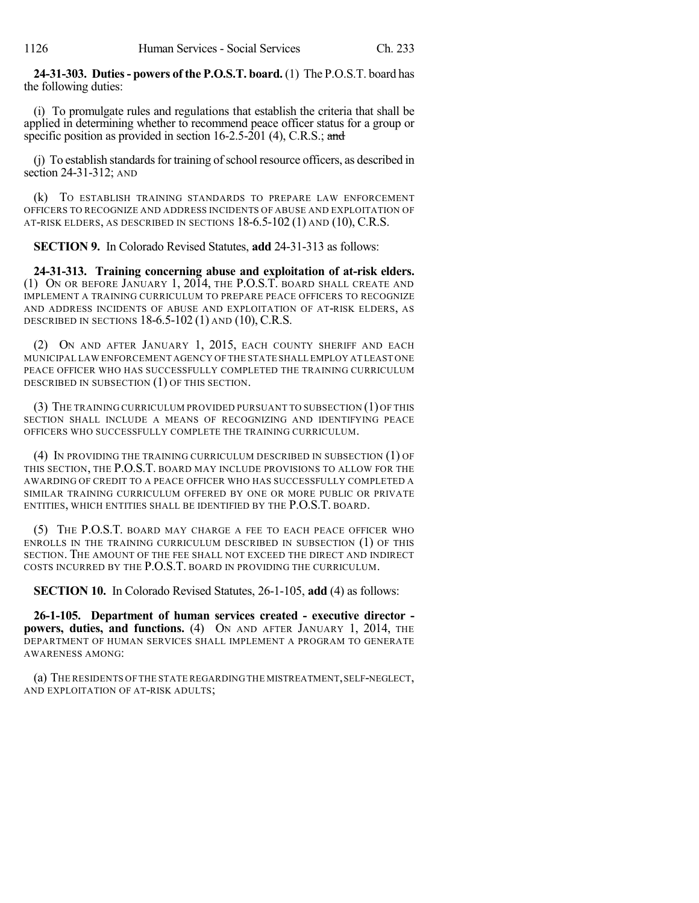**24-31-303. Duties- powers of the P.O.S.T. board.** (1) The P.O.S.T. board has the following duties:

(i) To promulgate rules and regulations that establish the criteria that shall be applied in determining whether to recommend peace officer status for a group or specific position as provided in section 16-2.5-201 (4), C.R.S.; and

(i) To establish standards for training of school resource officers, as described in section 24-31-312; AND

(k) TO ESTABLISH TRAINING STANDARDS TO PREPARE LAW ENFORCEMENT OFFICERS TO RECOGNIZE AND ADDRESS INCIDENTS OF ABUSE AND EXPLOITATION OF AT-RISK ELDERS, AS DESCRIBED IN SECTIONS 18-6.5-102 (1) AND (10), C.R.S.

**SECTION 9.** In Colorado Revised Statutes, **add** 24-31-313 as follows:

**24-31-313. Training concerning abuse and exploitation of at-risk elders.** (1) ON OR BEFORE JANUARY 1, 2014, THE P.O.S.T. BOARD SHALL CREATE AND IMPLEMENT A TRAINING CURRICULUM TO PREPARE PEACE OFFICERS TO RECOGNIZE AND ADDRESS INCIDENTS OF ABUSE AND EXPLOITATION OF AT-RISK ELDERS, AS DESCRIBED IN SECTIONS 18-6.5-102 (1) AND (10), C.R.S.

(2) ON AND AFTER JANUARY 1, 2015, EACH COUNTY SHERIFF AND EACH MUNICIPAL LAW ENFORCEMENT AGENCY OF THE STATE SHALL EMPLOY AT LEAST ONE PEACE OFFICER WHO HAS SUCCESSFULLY COMPLETED THE TRAINING CURRICULUM DESCRIBED IN SUBSECTION (1) OF THIS SECTION.

(3) THE TRAINING CURRICULUM PROVIDED PURSUANT TO SUBSECTION (1) OF THIS SECTION SHALL INCLUDE A MEANS OF RECOGNIZING AND IDENTIFYING PEACE OFFICERS WHO SUCCESSFULLY COMPLETE THE TRAINING CURRICULUM.

(4) IN PROVIDING THE TRAINING CURRICULUM DESCRIBED IN SUBSECTION (1) OF THIS SECTION, THE P.O.S.T. BOARD MAY INCLUDE PROVISIONS TO ALLOW FOR THE AWARDING OF CREDIT TO A PEACE OFFICER WHO HAS SUCCESSFULLY COMPLETED A SIMILAR TRAINING CURRICULUM OFFERED BY ONE OR MORE PUBLIC OR PRIVATE ENTITIES, WHICH ENTITIES SHALL BE IDENTIFIED BY THE P.O.S.T. BOARD.

(5) THE P.O.S.T. BOARD MAY CHARGE A FEE TO EACH PEACE OFFICER WHO ENROLLS IN THE TRAINING CURRICULUM DESCRIBED IN SUBSECTION (1) OF THIS SECTION. THE AMOUNT OF THE FEE SHALL NOT EXCEED THE DIRECT AND INDIRECT COSTS INCURRED BY THE P.O.S.T. BOARD IN PROVIDING THE CURRICULUM.

**SECTION 10.** In Colorado Revised Statutes, 26-1-105, **add** (4) as follows:

**26-1-105. Department of human services created - executive director powers, duties, and functions.** (4) ON AND AFTER JANUARY 1, 2014, THE DEPARTMENT OF HUMAN SERVICES SHALL IMPLEMENT A PROGRAM TO GENERATE AWARENESS AMONG:

(a) THE RESIDENTS OF THE STATE REGARDING THE MISTREATMENT,SELF-NEGLECT, AND EXPLOITATION OF AT-RISK ADULTS;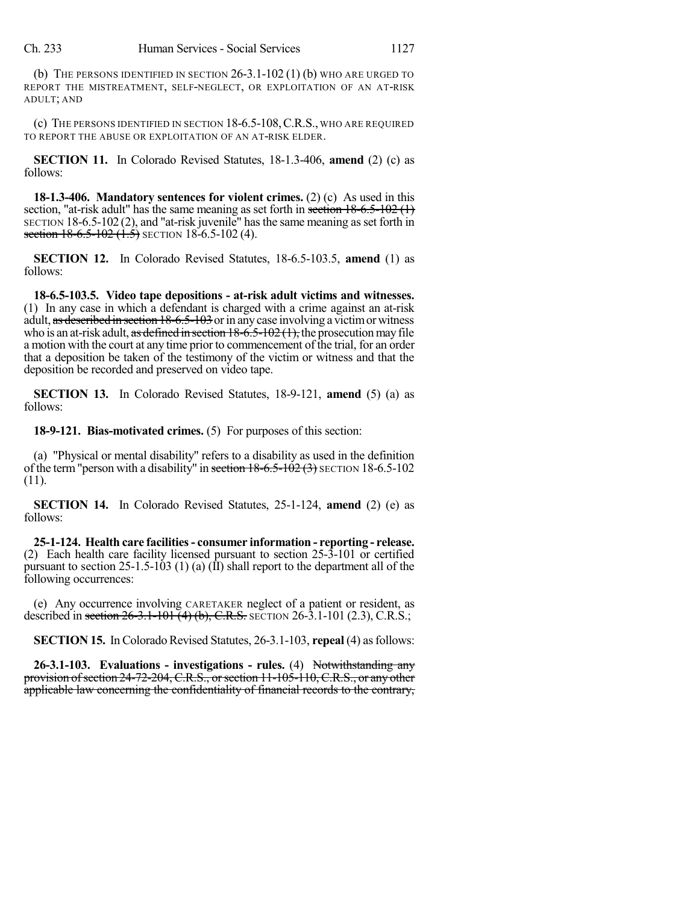(b) THE PERSONS IDENTIFIED IN SECTION  $26-3.1-102(1)$  (b) who are urged to REPORT THE MISTREATMENT, SELF-NEGLECT, OR EXPLOITATION OF AN AT-RISK ADULT; AND

(c) THE PERSONS IDENTIFIED IN SECTION 18-6.5-108,C.R.S., WHO ARE REQUIRED TO REPORT THE ABUSE OR EXPLOITATION OF AN AT-RISK ELDER.

**SECTION 11.** In Colorado Revised Statutes, 18-1.3-406, **amend** (2) (c) as follows:

**18-1.3-406. Mandatory sentences for violent crimes.** (2) (c) As used in this section, "at-risk adult" has the same meaning as set forth in section  $18-6.5-102$  (1)  $SECTION 18-6.5-102(2)$ , and "at-risk juvenile" has the same meaning as set forth in section  $18-6.5-102$   $(1.5)$  SECTION 18-6.5-102 (4).

**SECTION 12.** In Colorado Revised Statutes, 18-6.5-103.5, **amend** (1) as follows:

**18-6.5-103.5. Video tape depositions - at-risk adult victims and witnesses.** (1) In any case in which a defendant is charged with a crime against an at-risk adult, as described in section  $18-6.5-103$  or in any case involving a victim or witness who is an at-risk adult, as defined in section  $18-6.5-102(1)$ , the prosecution may file a motion with the court at any time prior to commencement of the trial, for an order that a deposition be taken of the testimony of the victim or witness and that the deposition be recorded and preserved on video tape.

**SECTION 13.** In Colorado Revised Statutes, 18-9-121, **amend** (5) (a) as follows:

**18-9-121. Bias-motivated crimes.** (5) For purposes of this section:

(a) "Physical or mental disability" refers to a disability as used in the definition of the term "person with a disability" in section  $18-6.5-102$  (3) SECTION 18-6.5-102 (11).

**SECTION 14.** In Colorado Revised Statutes, 25-1-124, **amend** (2) (e) as follows:

**25-1-124. Health care facilities- consumer information - reporting - release.** (2) Each health care facility licensed pursuant to section 25-3-101 or certified pursuant to section 25-1.5-103 (1) (a)  $(\overline{\Pi})$  shall report to the department all of the following occurrences:

(e) Any occurrence involving CARETAKER neglect of a patient or resident, as described in section  $26-3.1-101(4)$  (b), C.R.S. SECTION 26-3.1-101 (2.3), C.R.S.;

**SECTION 15.** In Colorado Revised Statutes, 26-3.1-103, **repeal** (4) as follows:

**26-3.1-103. Evaluations - investigations - rules.** (4) Notwithstanding any provision of section 24-72-204, C.R.S., or section 11-105-110, C.R.S., or any other applicable law concerning the confidentiality of financial records to the contrary,